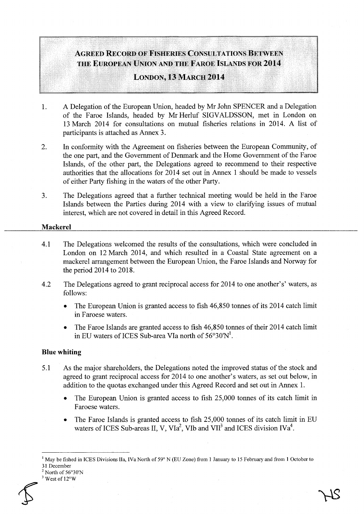# AGREED RECORD OF FISHERIES CONSULTATIONS BETWEEN THE EUROPEAN UNION AND THE FAROE ISLANDS FOR 2014

## LONDON, 13 MARCH 2014

- 1. A Delegation of the European Union, headed by Mr John SPENCER and a Delegation of the Faroe Islands, headed by Mr Herluf SIGV ALDSSON, met in London on 13 March 2014 for consultations on mutual fisheries relations in 2014. A list of participants is attached as Annex 3.
- 2. In conformity with the Agreement on fisheries between the European Community, of the one part, and the Government of Denmark and the Home Government of the Faroe Islands, of the other part, the Delegations agreed to recommend to their respective authorities that the allocations for 2014 set out in Annex 1 should be made to vessels of either Party fishing in the waters of the other Party.
- 3. The Delegations agreed that a further technical meeting would be held in the Faroe Islands between the Parties during 2014 with a view to clarifying issues of mutual interest, which are not covered in detail in this Agreed Record.

#### Mackerel

- 4.1 The Delegations welcomed the results of the consultations, which were concluded in London on 12 March 2014, and which resulted in a Coastal State agreement on a mackerel arrangement between the European Union, the Faroe Islands and Norway for the period 2014 to 2018.
- 4.2 The Delegations agreed to grant reciprocal access for 2014 to one another's' waters, as follows:
	- The European Union is granted access to fish 46,850 tonnes of its 2014 catch limit in Faroese waters.
	- The Faroe Islands are granted access to fish 46,850 tonnes of their 2014 catch limit in EU waters of ICES Sub-area VIa north of  $56^{\circ}30\text{N}^1$ .

## Blue whiting

- 5.1 As the major shareholders, the Delegations noted the improved status of the stock and agreed to grant reciprocal access for 2014 to one another's waters, as set out below, in addition to the quotas exchanged under this Agreed Record and set out in Annex 1.
	- The European Union is granted access to fish 25,000 tonnes of its catch limit in Faroese waters.
	- The Faroe Islands is granted access to fish 25,000 tonnes of its catch limit in EU waters of ICES Sub-areas II, V, VIa<sup>2</sup>, VIb and VII<sup>3</sup> and ICES division IVa<sup>4</sup>.

 $3$  West of  $12^{\circ}$ W



<sup>&</sup>lt;sup>1</sup> May be fished in ICES Divisions IIa, IVa North of 59° N (EU Zone) from 1 January to 15 February and from 1 October to

<sup>31</sup> December<br><sup>2</sup> North of 56°30'N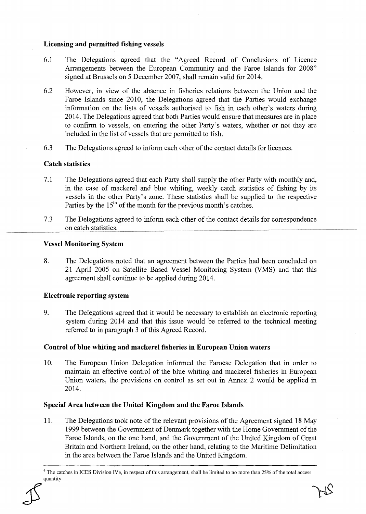#### Licensing and permitted fishing vessels

- 6.1 The Delegations agreed that the "Agreed Record of Conclusions of Licence Arrangements between the European Community and the Faroe Islands for 2008" signed at Brussels on 5 December 2007, shall remain valid for 2014.
- 6.2 However, in view of the absence in fisheries relations between the Union and the Faroe Islands since 2010, the Delegations agreed that the Parties would exchange information on the lists of vessels authorised to fish in each other's waters during 2014. The Delegations agreed that both Parties would ensure that measures are in place to confirm to vessels, on entering the other Party's waters, whether or not they are included in the list of vessels that are permitted to fish.
- 6.3 The Delegations agreed to inform each other of the contact details for licences.

## Catch statistics

- 7.1 The Delegations agreed that each Party shall supply the other Party with monthly and, in the case of mackerel and blue whiting, weekly catch statistics of fishing by its vessels in the other Party's zone. These statistics shall be supplied to the respective Parties by the  $15<sup>th</sup>$  of the month for the previous month's catches.
- 7.3 The Delegations agreed to inform each other of the contact details for correspondence on catch statistics.

#### Vessel Monitoring System

8. The Delegations noted that an agreement between the Parties had been concluded on 21 April 2005 on Satellite Based Vessel Monitoring System (VMS) and that this agreement shall continue to be applied during 2014.

## Electronic reporting system

9. The Delegations agreed that it would be necessary to establish an electronic reporting system during 2014 and that this issue would be referred to the technical meeting referred to in paragraph 3 of this Agreed Record.

## Control of blue whiting and mackerel fisheries in European Union waters

10. The European Union Delegation informed the Faroese Delegation that in order to maintain an effective control of the blue whiting and mackerel fisheries in European Union waters, the provisions on control as set out in Annex 2 would be applied in 2014.

## Special Area between the United Kingdom and the Faroe Islands

11. The Delegations took note of the relevant provisions of the Agreement signed 18 May 1999 between the Government of Denmark together with the Home Government of the Faroe Islands, on the one hand, and the Government of the United Kingdom of Great Britain and Northern Ireland, on the other hand, relating to the Maritime Delimitation in the area between the Faroe Islands and the United Kingdom.

<sup>4</sup> The catches in ICES Division IVa, in respect of this arrangement, shall be limited to no more than 25% of the total access quantity  $25$  and  $75$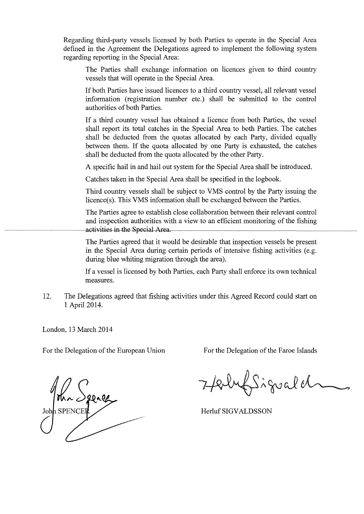Regarding third-party vessels licensed by both Parties to operate in the Special Area defined in the Agreement the Delegations agreed to implement the following system regarding reporting in the Special Area:

The Parties shall exchange information on licences given to third country vessels that will operate in the Special Area.

If both Parties have issued licences to a third country vessel, all relevant vessel information (registration number etc.) shall be submitted to the control authorities of both Parties.

If a third country vessel has obtained a licence from both Parties, the vessel shall report its total catches in the Special Area to both Parties. The catches shall be deducted from the quotas allocated by each Party, divided equally between them. If the quota allocated by one Party is exhausted, the catches shall be deducted from the quota allocated by the other Party.

A specific hail in and hail out system for the Special Area shall be introduced.

Catches taken in the Special Area shall be specified in the logbook.

Third country vessels shall be subject to VMS control by the Party issuing the licence(s). This VMS information shall be exchanged between the Parties.

The Parties agree to establish close collaboration between their relevant control and inspection authorities with a view to an efficient monitoring of the fishing activities in the Special Area.

The Parties agreed that it would be desirable that inspection vessels be present in the Special Area during certain periods of intensive fishing activities (e.g. during blue whiting migration through the area).

If a vessel is licensed by both Parties, each Party shall enforce its own technical measures.

12. The Delegations agreed that fishing activities under this Agreed Record could start on 1 April2014.

London, 13 March 2014

For the Delegation of the European Union For the Delegation of the Faroe Islands

John Spene

Herbert Siguald

Herluf SIGVALDSSON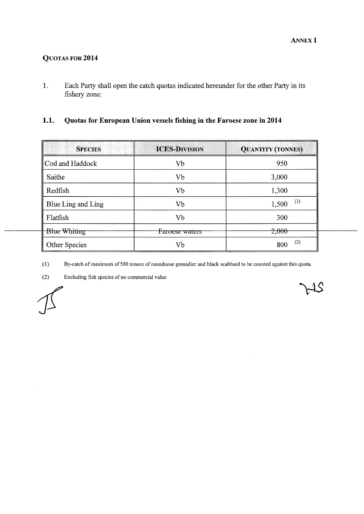# QUOTAS FOR 2014

1. Each Party shall open the catch quotas indicated hereunder for the other Party in its fishery zone:

## 1.1. Quotas for European Union vessels fishing in the Faroese zone in 2014

| <b>SPECIES</b>      | <b>ICES-DIVISION</b> | <b>QUANTITY (TONNES)</b> |
|---------------------|----------------------|--------------------------|
| Cod and Haddock     | Vb                   | 950                      |
| Saithe              | Vb                   | 3,000                    |
| Redfish             | Vb                   | 1,300                    |
| Blue Ling and Ling  | Vb                   | (1)<br>1,500             |
| Flatfish            | Vb                   | 300                      |
| <b>Blue Whiting</b> | Faroese waters       | 2,000                    |
| Other Species       | Vb                   | (2)<br>800               |

(1) By-catch of maximum of 500 tonnes of roundnose grenadier and black scabbard to be counted against this quota.

(2) Excluding fish species of no commercial value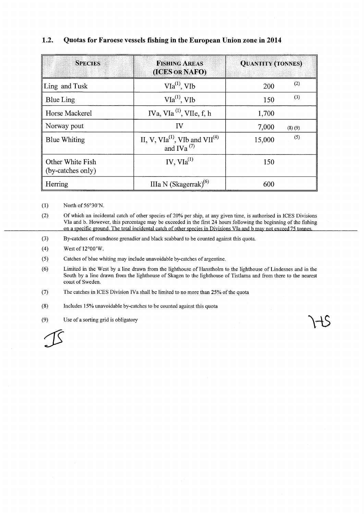## 1.2. Quotas for Faroese vessels fishing in the European Union zone in 2014

| <b>SPECIES</b>                        | <b>FISHING AREAS</b><br>(ICES OR NAFO)                                     | <b>QUANTITY (TONNES)</b> |
|---------------------------------------|----------------------------------------------------------------------------|--------------------------|
| Ling and Tusk                         | $V1a^{(1)}$ , VIb                                                          | (2)<br>200               |
| <b>Blue Ling</b>                      | $VIa^{(1)}$ , VIb                                                          | (3)<br>150               |
| Horse Mackerel                        | IVa, VIa <sup>(1)</sup> , VIIe, f, h                                       | 1,700                    |
| Norway pout                           | IV                                                                         | 7,000<br>(8)(9)          |
| <b>Blue Whiting</b>                   | II, V, VIa <sup>(1)</sup> , VIb and VII <sup>(4)</sup><br>and IVa $^{(7)}$ | (5)<br>15,000            |
| Other White Fish<br>(by-catches only) | IV, $V1a^{(1)}$                                                            | 150                      |
| Herring                               | IIIa N (Skagerrak) $^{(6)}$                                                | 600                      |

(1) North of 56°30'N.

(2) Of which an incidental catch of other species of 20% per ship, at any given time, is authorised in ICES Divisions VIa and b. However, this percentage may be exceeded in the first 24 hours following the beginning of the fishing on a specific ground. The total incidental catch of other species in Divisions VIa and b may not exceed 75 tonnes

(3) By-catches ofroundnose grenadier and black scabbard to be counted against this quota.

(4) West of  $12^{\circ}00'$  W.

(5) Catches of blue whiting may include unavoidable by-catches of argentine.

(6) Limited in the West by a line drawn from the lighthouse of Hanstholm to the lighthouse of Lindesnes and in the South by a line drawn from the lighthouse of Skagen to the lighthouse of Tistlarna and from there to the nearest coast of Sweden.

(7) The catches in ICES Division IVa shall be limited to no more than 25% of the quota

(8) Includes 15% unavoidable by-catches to be counted against this quota

(9) Use of a sorting grid is obligatory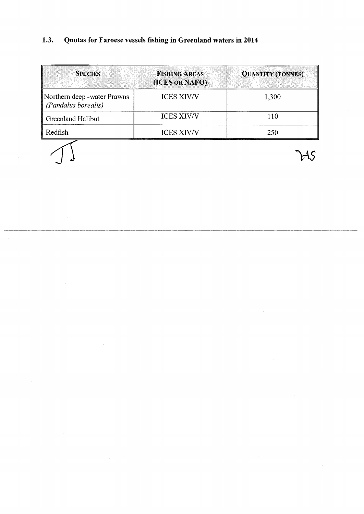#### Quotas for Faroese vessels fishing in Greenland waters in 2014  $1.3.$

| <b>SPECIES</b>                                     | <b>FISHING AREAS</b><br>(ICES OR NAFO) | <b>QUANTITY (TONNES)</b> |
|----------------------------------------------------|----------------------------------------|--------------------------|
| Northern deep -water Prawns<br>(Pandalus borealis) | <b>ICES XIV/V</b>                      | 1,300                    |
| Greenland Halibut                                  | <b>ICES XIV/V</b>                      | 110                      |
| Redfish                                            | <b>ICES XIV/V</b>                      | 250                      |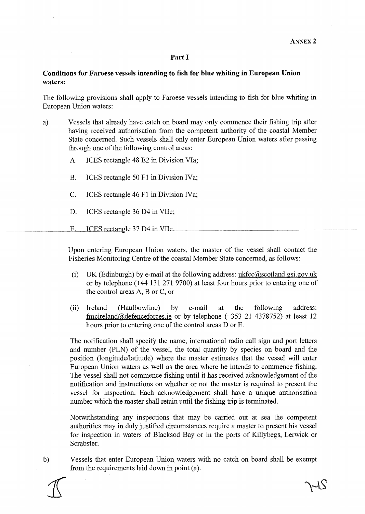#### **Part I**

#### **Conditions for Faroese vessels intending to fish for blue whiting in European Union waters:**

The following provisions shall apply to Faroese vessels intending to fish for blue whiting in European Union waters:

- a) Vessels that already have catch on board may only commence their fishing trip after having received authorisation from the competent authority of the coastal Member State concerned. Such vessels shall only enter European Union waters after passing through one of the following control areas:
	- A. ICES rectangle 48 E2 in Division VIa;
	- B. ICES rectangle 50 Fl in Division IVa;
	- C. ICES rectangle 46 F1 in Division IVa;
	- D. ICES rectangle 36 D4 in VIle;
	- $E_{\rm{L}}$ ICES rectangle 37 D4 in VIIc.

Upon entering European Union waters, the master of the vessel shall contact the Fisheries Monitoring Centre of the coastal Member State concerned, as follows:

- (i) UK (Edinburgh) by e-mail at the following address: ukfcc@scotland.gsi.gov.uk or by telephone ( +44 131 271 9700) at least four hours prior to entering one of the control areas A, B or C, or
- (ii) Ireland (Haulbowline) by e-mail at the following address: fmcireland@defenceforces.ie or by telephone (+353 21 4378752) at least 12 hours prior to entering one of the control areas D or E.

The notification shall specify the name, international radio call sign and port letters and number (PLN) of the vessel, the total quantity by species on board and the position (longitude/latitude) where the master estimates that the vessel will enter European Union waters as well as the area where he intends to commence fishing. The vessel shall not commence fishing until it has received acknowledgement of the notification and instructions on whether or not the master is required to present the vessel for inspection. Each acknowledgement shall have a unique authorisation number which the master shall retain until the fishing trip is terminated.

Notwithstanding any inspections that may be carried out at sea the competent authorities may in duly justified circumstances require a master to present his vessel for inspection in waters of Blacksod Bay or in the ports of Killybegs, Lerwick or Scrabster.

b) Vessels that enter European Union waters with no catch on board shall be exempt from the requirements laid down in point (a).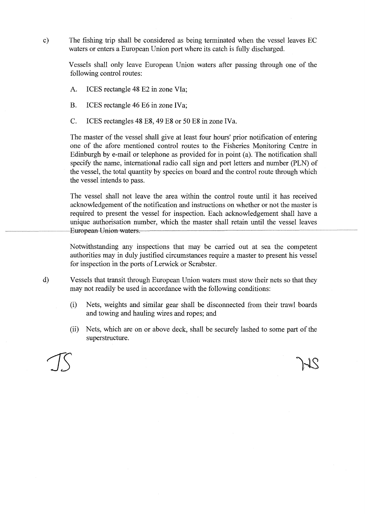c) The fishing trip shall be considered as being terminated when the vessel leaves EC waters or enters a European Union port where its catch is fully discharged.

Vessels shall only leave European Union waters after passing through one of the following control routes:

A. ICES rectangle 48 E2 in zone VIa;

B. ICES rectangle 46 E6 in zone IVa;

C. ICES rectangles 48 E8, 49 E8 or 50 E8 in zone IVa.

The master of the vessel shall give at least four hours' prior notification of entering one of the afore mentioned control routes to the Fisheries Monitoring Centre in Edinburgh by e-mail or telephone as provided for in point (a). The notification shall specify the name, international radio call sign and port letters and number (PLN) of the vessel, the total quantity by species on board and the control route through which the vessel intends to pass.

The vessel shall not leave the area within the control route until it has received acknowledgement of the notification and instructions on whether or not the master is required to present the vessel for inspection. Each acknowledgement shall have a unique authorisation number, which the master shall retain until the vessel leaves European Union waters.

Notwithstanding any inspections that may be carried out at sea the competent authorities may in duly justified circumstances require a master to present his vessel for inspection in the ports of Lerwick or Scrabster.

- d) Vessels that transit through European Union waters must stow their nets so that they may not readily be used in accordance with the following conditions:
	- (i) Nets, weights and similar gear shall be disconnected from their trawl boards and towing and hauling wires and ropes; and
	- (ii) Nets, which are on or above deck, shall be securely lashed to some part of the superstructure.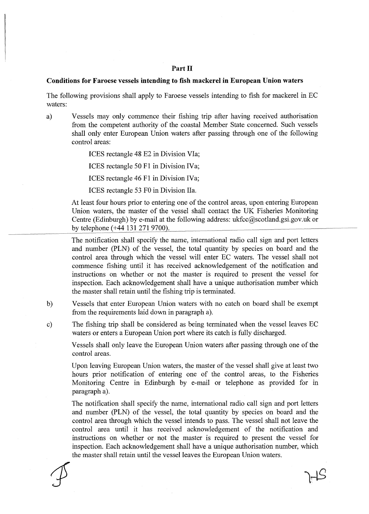#### **Part II**

#### **Conditions for Faroese vessels intending to fish mackerel in European Union waters**

The following provisions shall apply to Faroese vessels intending to fish for mackerel in EC waters:

a) Vessels may only commence their fishing trip after having received authorisation from the competent authority of the coastal Member State concerned. Such vessels shall only enter European Union waters after passing through one of the following control areas:

ICES rectangle 48 E2 in Division VIa;

ICES rectangle 50 Fl in Division IVa;

ICES rectangle 46 Fl in Division IVa;

ICES rectangle 53 FO in Division Ila.

At least four hours prior to entering one of the control areas, upon entering European Union waters, the master of the vessel shall contact the UK Fisheries Monitoring Centre (Edinburgh) by e-mail at the following address: ukfcc@scotland.gsi.gov.uk or by telephone (+44 131 271 9700).

The notification shall specify the name, international radio call sign and port letters and number (PLN) of the vessel, the total quantity by species on board and the control area through which the vessel will enter EC waters. The vessel shall not commence fishing until it has received acknowledgement of the notification and instructions on whether or not the master is required to present the vessel for inspection. Each acknowledgement shall have a unique authorisation number which the master shall retain until the fishing trip is terminated.

- b) Vessels that enter European Union waters with no catch on board shall be exempt from the requirements laid down in paragraph a).
- c) The fishing trip shall be considered as being terminated when the vessel leaves EC waters or enters a European Union port where its catch is fully discharged.

Vessels shall only leave the European Union waters after passing through one of the control areas.

Upon leaving European Union waters, the master of the vessel shall give at least two hours prior notification of entering one of the control areas, to the Fisheries Monitoring Centre in Edinburgh by e-mail or telephone as provided for in paragraph a).

The notification shall specify the name, international radio call sign and port letters and number (PLN) of the vessel, the total quantity by species on board and the control area through which the vessel intends to pass. The vessel shall not leave the control area until it has received acknowledgement of the notification and instructions on whether or not the master is required to present the vessel for inspection. Each acknowledgement shall have a unique authorisation number, which the master shall retain until the vessel leaves the European Union waters.

 $H S$